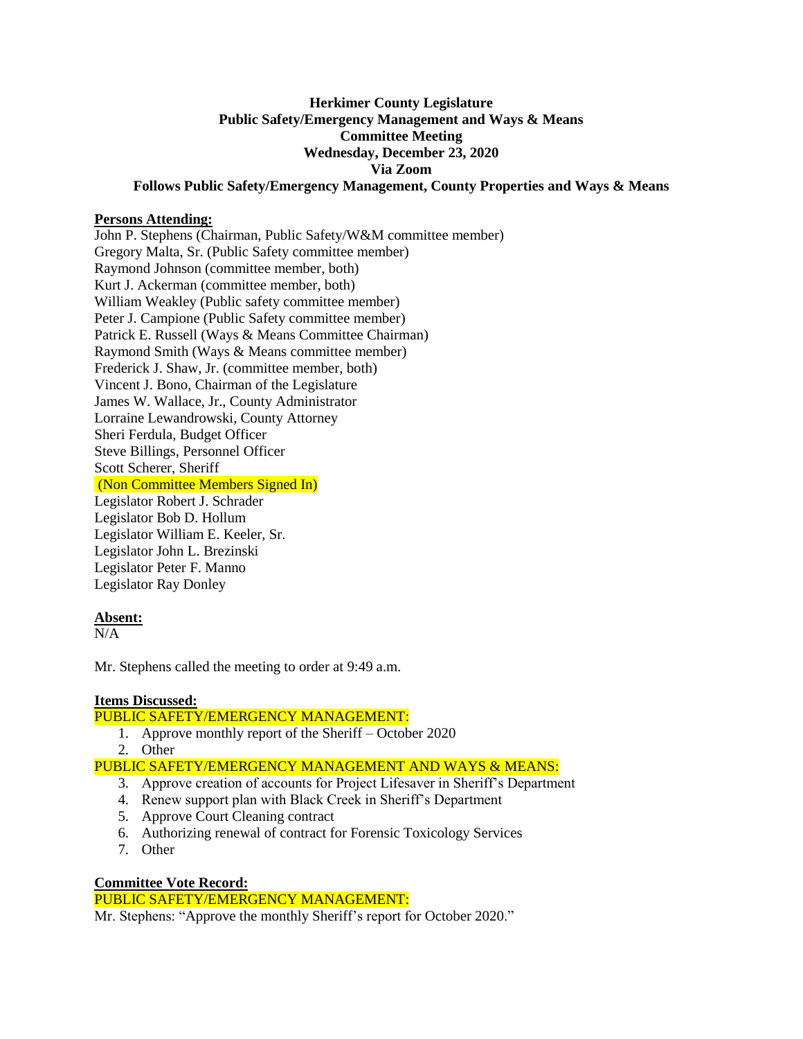# **Herkimer County Legislature Public Safety/Emergency Management and Ways & Means Committee Meeting Wednesday, December 23, 2020 Via Zoom Follows Public Safety/Emergency Management, County Properties and Ways & Means**

#### **Persons Attending:**

John P. Stephens (Chairman, Public Safety/W&M committee member) Gregory Malta, Sr. (Public Safety committee member) Raymond Johnson (committee member, both) Kurt J. Ackerman (committee member, both) William Weakley (Public safety committee member) Peter J. Campione (Public Safety committee member) Patrick E. Russell (Ways & Means Committee Chairman) Raymond Smith (Ways & Means committee member) Frederick J. Shaw, Jr. (committee member, both) Vincent J. Bono, Chairman of the Legislature James W. Wallace, Jr., County Administrator Lorraine Lewandrowski, County Attorney Sheri Ferdula, Budget Officer Steve Billings, Personnel Officer Scott Scherer, Sheriff (Non Committee Members Signed In) Legislator Robert J. Schrader Legislator Bob D. Hollum Legislator William E. Keeler, Sr. Legislator John L. Brezinski Legislator Peter F. Manno Legislator Ray Donley

#### **Absent:**

 $N/A$ 

Mr. Stephens called the meeting to order at 9:49 a.m.

## **Items Discussed:**

## PUBLIC SAFETY/EMERGENCY MANAGEMENT:

- 1. Approve monthly report of the Sheriff October 2020
	- 2. Other

## PUBLIC SAFETY/EMERGENCY MANAGEMENT AND WAYS & MEANS:

- 3. Approve creation of accounts for Project Lifesaver in Sheriff's Department
- 4. Renew support plan with Black Creek in Sheriff's Department
- 5. Approve Court Cleaning contract
- 6. Authorizing renewal of contract for Forensic Toxicology Services
- 7. Other

#### **Committee Vote Record:**

PUBLIC SAFETY/EMERGENCY MANAGEMENT:

Mr. Stephens: "Approve the monthly Sheriff's report for October 2020."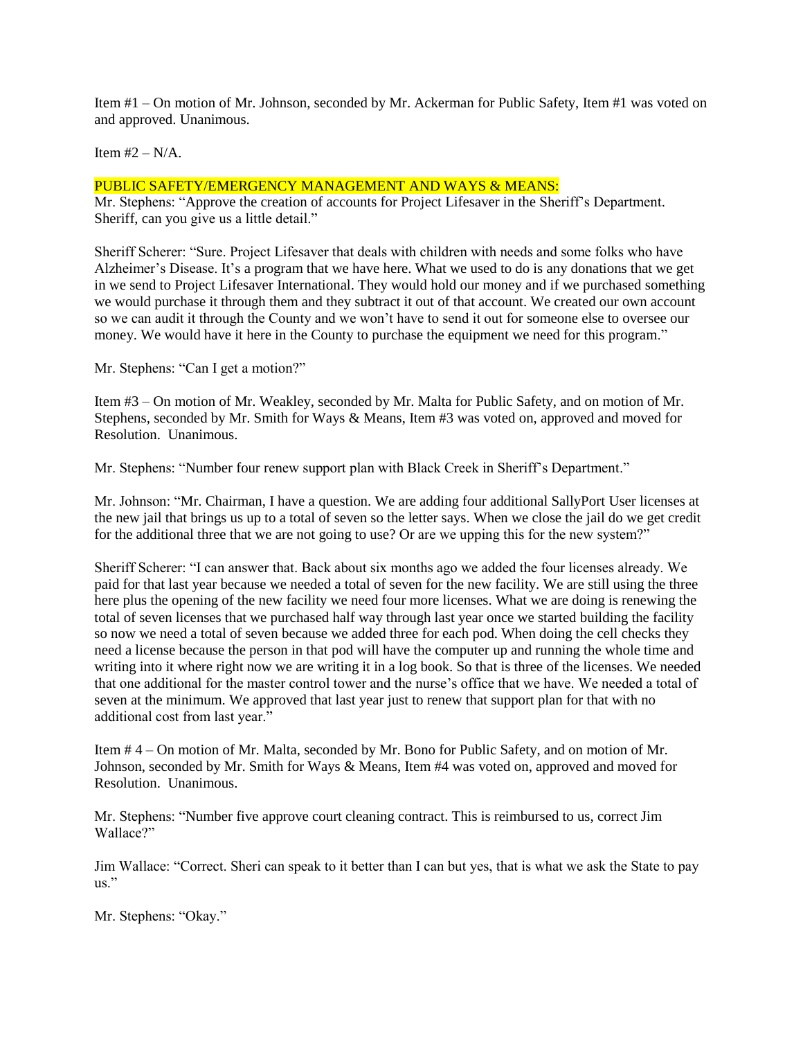Item #1 – On motion of Mr. Johnson, seconded by Mr. Ackerman for Public Safety, Item #1 was voted on and approved. Unanimous.

Item  $#2 - N/A$ .

# PUBLIC SAFETY/EMERGENCY MANAGEMENT AND WAYS & MEANS:

Mr. Stephens: "Approve the creation of accounts for Project Lifesaver in the Sheriff's Department. Sheriff, can you give us a little detail."

Sheriff Scherer: "Sure. Project Lifesaver that deals with children with needs and some folks who have Alzheimer's Disease. It's a program that we have here. What we used to do is any donations that we get in we send to Project Lifesaver International. They would hold our money and if we purchased something we would purchase it through them and they subtract it out of that account. We created our own account so we can audit it through the County and we won't have to send it out for someone else to oversee our money. We would have it here in the County to purchase the equipment we need for this program."

Mr. Stephens: "Can I get a motion?"

Item #3 – On motion of Mr. Weakley, seconded by Mr. Malta for Public Safety, and on motion of Mr. Stephens, seconded by Mr. Smith for Ways & Means, Item #3 was voted on, approved and moved for Resolution. Unanimous.

Mr. Stephens: "Number four renew support plan with Black Creek in Sheriff's Department."

Mr. Johnson: "Mr. Chairman, I have a question. We are adding four additional SallyPort User licenses at the new jail that brings us up to a total of seven so the letter says. When we close the jail do we get credit for the additional three that we are not going to use? Or are we upping this for the new system?"

Sheriff Scherer: "I can answer that. Back about six months ago we added the four licenses already. We paid for that last year because we needed a total of seven for the new facility. We are still using the three here plus the opening of the new facility we need four more licenses. What we are doing is renewing the total of seven licenses that we purchased half way through last year once we started building the facility so now we need a total of seven because we added three for each pod. When doing the cell checks they need a license because the person in that pod will have the computer up and running the whole time and writing into it where right now we are writing it in a log book. So that is three of the licenses. We needed that one additional for the master control tower and the nurse's office that we have. We needed a total of seven at the minimum. We approved that last year just to renew that support plan for that with no additional cost from last year."

Item # 4 – On motion of Mr. Malta, seconded by Mr. Bono for Public Safety, and on motion of Mr. Johnson, seconded by Mr. Smith for Ways & Means, Item #4 was voted on, approved and moved for Resolution. Unanimous.

Mr. Stephens: "Number five approve court cleaning contract. This is reimbursed to us, correct Jim Wallace?"

Jim Wallace: "Correct. Sheri can speak to it better than I can but yes, that is what we ask the State to pay us."

Mr. Stephens: "Okay."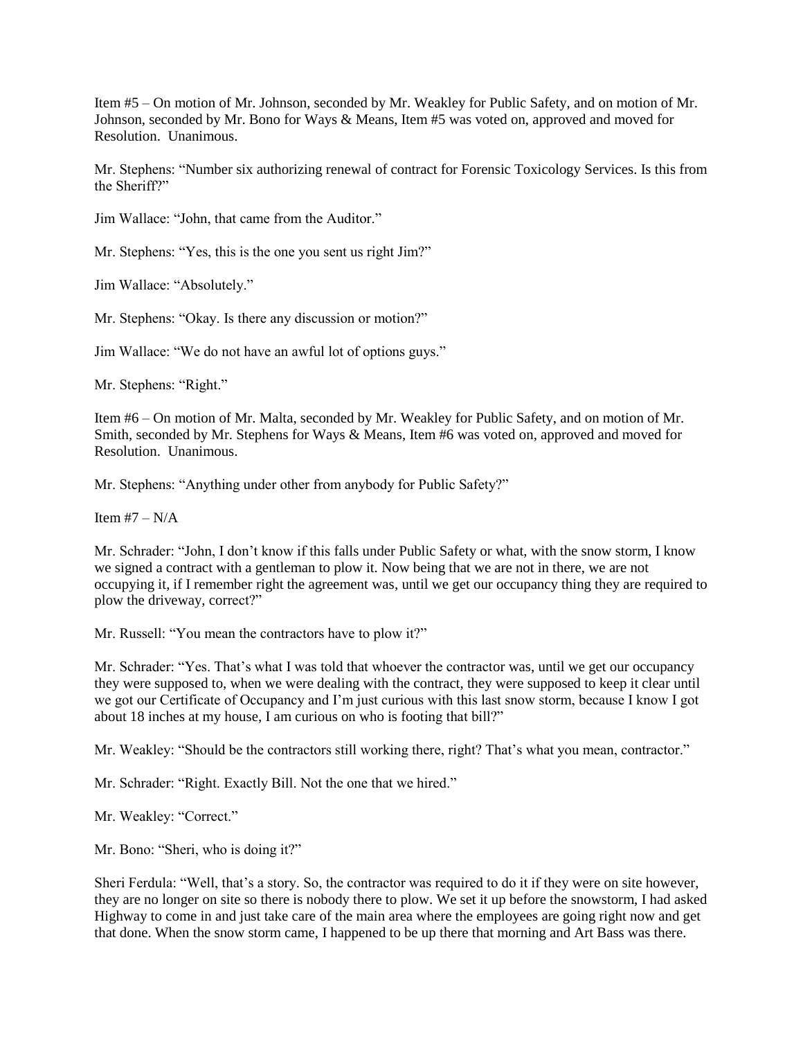Item #5 – On motion of Mr. Johnson, seconded by Mr. Weakley for Public Safety, and on motion of Mr. Johnson, seconded by Mr. Bono for Ways & Means, Item #5 was voted on, approved and moved for Resolution. Unanimous.

Mr. Stephens: "Number six authorizing renewal of contract for Forensic Toxicology Services. Is this from the Sheriff?"

Jim Wallace: "John, that came from the Auditor."

Mr. Stephens: "Yes, this is the one you sent us right Jim?"

Jim Wallace: "Absolutely."

Mr. Stephens: "Okay. Is there any discussion or motion?"

Jim Wallace: "We do not have an awful lot of options guys."

Mr. Stephens: "Right."

Item #6 – On motion of Mr. Malta, seconded by Mr. Weakley for Public Safety, and on motion of Mr. Smith, seconded by Mr. Stephens for Ways & Means, Item #6 was voted on, approved and moved for Resolution. Unanimous.

Mr. Stephens: "Anything under other from anybody for Public Safety?"

Item  $#7 - N/A$ 

Mr. Schrader: "John, I don't know if this falls under Public Safety or what, with the snow storm, I know we signed a contract with a gentleman to plow it. Now being that we are not in there, we are not occupying it, if I remember right the agreement was, until we get our occupancy thing they are required to plow the driveway, correct?"

Mr. Russell: "You mean the contractors have to plow it?"

Mr. Schrader: "Yes. That's what I was told that whoever the contractor was, until we get our occupancy they were supposed to, when we were dealing with the contract, they were supposed to keep it clear until we got our Certificate of Occupancy and I'm just curious with this last snow storm, because I know I got about 18 inches at my house, I am curious on who is footing that bill?"

Mr. Weakley: "Should be the contractors still working there, right? That's what you mean, contractor."

Mr. Schrader: "Right. Exactly Bill. Not the one that we hired."

Mr. Weakley: "Correct."

Mr. Bono: "Sheri, who is doing it?"

Sheri Ferdula: "Well, that's a story. So, the contractor was required to do it if they were on site however, they are no longer on site so there is nobody there to plow. We set it up before the snowstorm, I had asked Highway to come in and just take care of the main area where the employees are going right now and get that done. When the snow storm came, I happened to be up there that morning and Art Bass was there.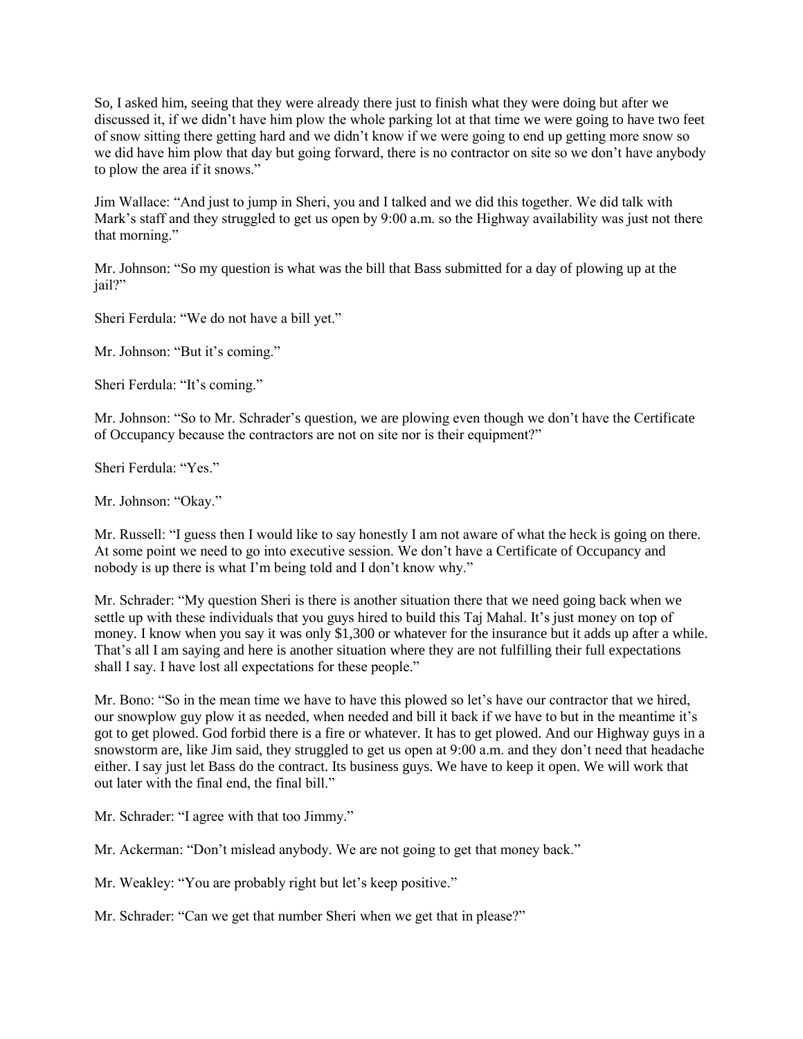So, I asked him, seeing that they were already there just to finish what they were doing but after we discussed it, if we didn't have him plow the whole parking lot at that time we were going to have two feet of snow sitting there getting hard and we didn't know if we were going to end up getting more snow so we did have him plow that day but going forward, there is no contractor on site so we don't have anybody to plow the area if it snows."

Jim Wallace: "And just to jump in Sheri, you and I talked and we did this together. We did talk with Mark's staff and they struggled to get us open by 9:00 a.m. so the Highway availability was just not there that morning."

Mr. Johnson: "So my question is what was the bill that Bass submitted for a day of plowing up at the jail?"

Sheri Ferdula: "We do not have a bill yet."

Mr. Johnson: "But it's coming."

Sheri Ferdula: "It's coming."

Mr. Johnson: "So to Mr. Schrader's question, we are plowing even though we don't have the Certificate of Occupancy because the contractors are not on site nor is their equipment?"

Sheri Ferdula: "Yes."

Mr. Johnson: "Okay."

Mr. Russell: "I guess then I would like to say honestly I am not aware of what the heck is going on there. At some point we need to go into executive session. We don't have a Certificate of Occupancy and nobody is up there is what I'm being told and I don't know why."

Mr. Schrader: "My question Sheri is there is another situation there that we need going back when we settle up with these individuals that you guys hired to build this Taj Mahal. It's just money on top of money. I know when you say it was only \$1,300 or whatever for the insurance but it adds up after a while. That's all I am saying and here is another situation where they are not fulfilling their full expectations shall I say. I have lost all expectations for these people."

Mr. Bono: "So in the mean time we have to have this plowed so let's have our contractor that we hired, our snowplow guy plow it as needed, when needed and bill it back if we have to but in the meantime it's got to get plowed. God forbid there is a fire or whatever. It has to get plowed. And our Highway guys in a snowstorm are, like Jim said, they struggled to get us open at 9:00 a.m. and they don't need that headache either. I say just let Bass do the contract. Its business guys. We have to keep it open. We will work that out later with the final end, the final bill."

Mr. Schrader: "I agree with that too Jimmy."

Mr. Ackerman: "Don't mislead anybody. We are not going to get that money back."

Mr. Weakley: "You are probably right but let's keep positive."

Mr. Schrader: "Can we get that number Sheri when we get that in please?"